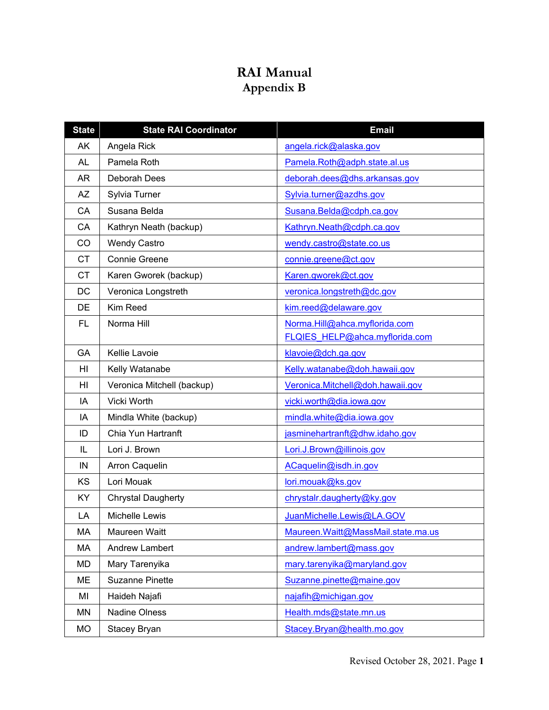## **RAI Manual Appendix B**

| <b>State</b> | <b>State RAI Coordinator</b> | <b>Email</b>                        |
|--------------|------------------------------|-------------------------------------|
| AK           | Angela Rick                  | angela.rick@alaska.gov              |
| <b>AL</b>    | Pamela Roth                  | Pamela.Roth@adph.state.al.us        |
| <b>AR</b>    | Deborah Dees                 | deborah.dees@dhs.arkansas.gov       |
| <b>AZ</b>    | Sylvia Turner                | Sylvia.turner@azdhs.gov             |
| CA           | Susana Belda                 | Susana.Belda@cdph.ca.gov            |
| CA           | Kathryn Neath (backup)       | Kathryn.Neath@cdph.ca.gov           |
| CO           | <b>Wendy Castro</b>          | wendy.castro@state.co.us            |
| <b>CT</b>    | Connie Greene                | connie.greene@ct.gov                |
| <b>CT</b>    | Karen Gworek (backup)        | Karen.gworek@ct.gov                 |
| <b>DC</b>    | Veronica Longstreth          | veronica.longstreth@dc.gov          |
| DE           | Kim Reed                     | kim.reed@delaware.gov               |
| <b>FL</b>    | Norma Hill                   | Norma.Hill@ahca.myflorida.com       |
|              |                              | FLQIES HELP@ahca.myflorida.com      |
| GA           | Kellie Lavoie                | klavoie@dch.ga.gov                  |
| HI           | Kelly Watanabe               | Kelly.watanabe@doh.hawaii.gov       |
| HI           | Veronica Mitchell (backup)   | Veronica.Mitchell@doh.hawaii.gov    |
| IA           | Vicki Worth                  | vicki.worth@dia.iowa.gov            |
| IA           | Mindla White (backup)        | mindla.white@dia.iowa.gov           |
| ID           | Chia Yun Hartranft           | jasminehartranft@dhw.idaho.gov      |
| IL           | Lori J. Brown                | Lori.J.Brown@illinois.gov           |
| IN           | Arron Caquelin               | ACaquelin@isdh.in.gov               |
| KS           | Lori Mouak                   | lori.mouak@ks.gov                   |
| KY           | <b>Chrystal Daugherty</b>    | chrystalr.daugherty@ky.gov          |
| LA           | <b>Michelle Lewis</b>        | JuanMichelle.Lewis@LA.GOV           |
| MA           | Maureen Waitt                | Maureen. Waitt@MassMail.state.ma.us |
| MA           | <b>Andrew Lambert</b>        | andrew.lambert@mass.gov             |
| MD           | Mary Tarenyika               | mary.tarenyika@maryland.gov         |
| ME           | <b>Suzanne Pinette</b>       | Suzanne.pinette@maine.gov           |
| MI           | Haideh Najafi                | najafih@michigan.gov                |
| MN           | Nadine Olness                | Health.mds@state.mn.us              |
| MO           | Stacey Bryan                 | Stacey.Bryan@health.mo.gov          |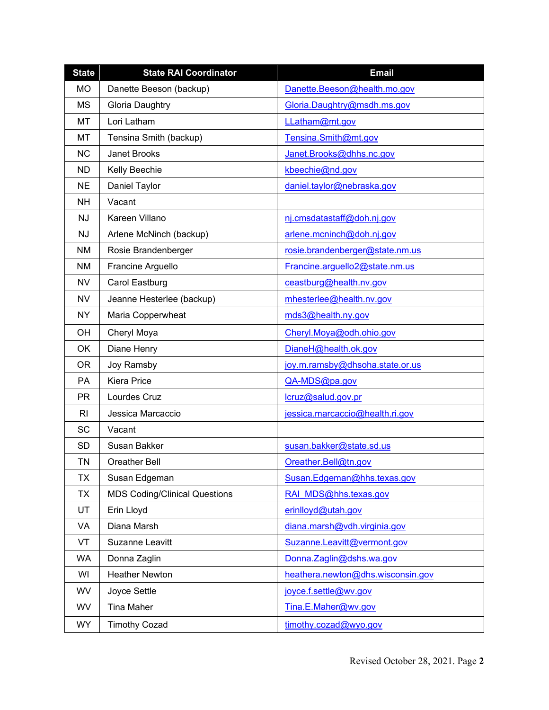| <b>State</b>   | <b>State RAI Coordinator</b>         | <b>Email</b>                      |
|----------------|--------------------------------------|-----------------------------------|
| <b>MO</b>      | Danette Beeson (backup)              | Danette.Beeson@health.mo.gov      |
| <b>MS</b>      | <b>Gloria Daughtry</b>               | Gloria.Daughtry@msdh.ms.gov       |
| MT             | Lori Latham                          | LLatham@mt.gov                    |
| MT             | Tensina Smith (backup)               | Tensina.Smith@mt.gov              |
| <b>NC</b>      | <b>Janet Brooks</b>                  | Janet.Brooks@dhhs.nc.gov          |
| <b>ND</b>      | Kelly Beechie                        | kbeechie@nd.gov                   |
| <b>NE</b>      | Daniel Taylor                        | daniel.taylor@nebraska.gov        |
| <b>NH</b>      | Vacant                               |                                   |
| <b>NJ</b>      | Kareen Villano                       | nj.cmsdatastaff@doh.nj.gov        |
| <b>NJ</b>      | Arlene McNinch (backup)              | arlene.mcninch@doh.nj.gov         |
| <b>NM</b>      | Rosie Brandenberger                  | rosie.brandenberger@state.nm.us   |
| <b>NM</b>      | Francine Arguello                    | Francine.arguello2@state.nm.us    |
| <b>NV</b>      | Carol Eastburg                       | ceastburg@health.nv.gov           |
| <b>NV</b>      | Jeanne Hesterlee (backup)            | mhesterlee@health.nv.gov          |
| <b>NY</b>      | Maria Copperwheat                    | mds3@health.ny.gov                |
| OH             | Cheryl Moya                          | Cheryl.Moya@odh.ohio.gov          |
| OK             | Diane Henry                          | DianeH@health.ok.gov              |
| <b>OR</b>      | Joy Ramsby                           | joy.m.ramsby@dhsoha.state.or.us   |
| PA             | <b>Kiera Price</b>                   | QA-MDS@pa.gov                     |
| <b>PR</b>      | Lourdes Cruz                         | lcruz@salud.gov.pr                |
| R <sub>l</sub> | Jessica Marcaccio                    | jessica.marcaccio@health.ri.gov   |
| SC             | Vacant                               |                                   |
| <b>SD</b>      | Susan Bakker                         | susan.bakker@state.sd.us          |
| <b>TN</b>      | <b>Oreather Bell</b>                 | Oreather.Bell@tn.gov              |
| <b>TX</b>      | Susan Edgeman                        | Susan.Edgeman@hhs.texas.gov       |
| <b>TX</b>      | <b>MDS Coding/Clinical Questions</b> | RAI MDS@hhs.texas.gov             |
| UT             | Erin Lloyd                           | erinlloyd@utah.gov                |
| VA             | Diana Marsh                          | diana.marsh@vdh.virginia.gov      |
| VT             | Suzanne Leavitt                      | Suzanne.Leavitt@vermont.gov       |
| <b>WA</b>      | Donna Zaglin                         | Donna.Zaglin@dshs.wa.gov          |
| WI             | <b>Heather Newton</b>                | heathera.newton@dhs.wisconsin.gov |
| WV             | Joyce Settle                         | joyce.f.settle@wv.gov             |
| WV             | <b>Tina Maher</b>                    | Tina.E.Maher@wv.gov               |
| WY             | <b>Timothy Cozad</b>                 | timothy.cozad@wyo.gov             |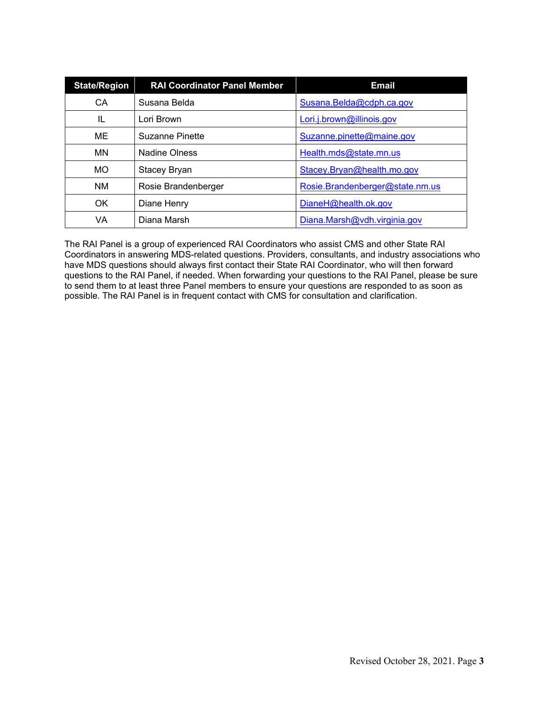| <b>State/Region</b> | <b>RAI Coordinator Panel Member</b> | <b>Email</b>                    |
|---------------------|-------------------------------------|---------------------------------|
| CA                  | Susana Belda                        | Susana.Belda@cdph.ca.gov        |
| IL                  | Lori Brown                          | Lori.j.brown@illinois.gov       |
| <b>ME</b>           | <b>Suzanne Pinette</b>              | Suzanne.pinette@maine.gov       |
| MN                  | <b>Nadine Olness</b>                | Health.mds@state.mn.us          |
| <b>MO</b>           | Stacey Bryan                        | Stacey.Bryan@health.mo.gov      |
| <b>NM</b>           | Rosie Brandenberger                 | Rosie.Brandenberger@state.nm.us |
| OK                  | Diane Henry                         | DianeH@health.ok.gov            |
| VA                  | Diana Marsh                         | Diana.Marsh@vdh.virginia.gov    |

The RAI Panel is a group of experienced RAI Coordinators who assist CMS and other State RAI Coordinators in answering MDS-related questions. Providers, consultants, and industry associations who have MDS questions should always first contact their State RAI Coordinator, who will then forward questions to the RAI Panel, if needed. When forwarding your questions to the RAI Panel, please be sure to send them to at least three Panel members to ensure your questions are responded to as soon as possible. The RAI Panel is in frequent contact with CMS for consultation and clarification.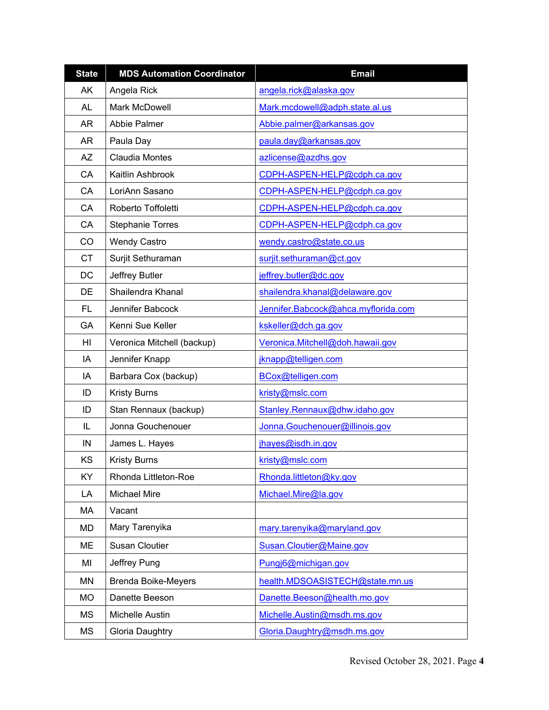| <b>State</b> | <b>MDS Automation Coordinator</b> | <b>Email</b>                        |  |
|--------------|-----------------------------------|-------------------------------------|--|
| AK           | Angela Rick                       | angela.rick@alaska.gov              |  |
| <b>AL</b>    | Mark McDowell                     | Mark.mcdowell@adph.state.al.us      |  |
| AR           | Abbie Palmer                      | Abbie.palmer@arkansas.gov           |  |
| AR           | Paula Day                         | paula.day@arkansas.gov              |  |
| AΖ           | Claudia Montes                    | azlicense@azdhs.gov                 |  |
| CA           | Kaitlin Ashbrook                  | CDPH-ASPEN-HELP@cdph.ca.gov         |  |
| CA           | LoriAnn Sasano                    | CDPH-ASPEN-HELP@cdph.ca.gov         |  |
| CA           | Roberto Toffoletti                | CDPH-ASPEN-HELP@cdph.ca.gov         |  |
| CA           | <b>Stephanie Torres</b>           | CDPH-ASPEN-HELP@cdph.ca.gov         |  |
| CO           | <b>Wendy Castro</b>               | wendy.castro@state.co.us            |  |
| <b>CT</b>    | Surjit Sethuraman                 | surjit.sethuraman@ct.gov            |  |
| DC           | Jeffrey Butler                    | jeffrey.butler@dc.gov               |  |
| DE           | Shailendra Khanal                 | shailendra.khanal@delaware.gov      |  |
| FL           | Jennifer Babcock                  | Jennifer.Babcock@ahca.myflorida.com |  |
| GA           | Kenni Sue Keller                  | kskeller@dch.ga.gov                 |  |
| HI           | Veronica Mitchell (backup)        | Veronica.Mitchell@doh.hawaii.gov    |  |
| ΙA           | Jennifer Knapp                    | jknapp@telligen.com                 |  |
| IA           | Barbara Cox (backup)              | BCox@telligen.com                   |  |
| ID           | <b>Kristy Burns</b>               | kristy@mslc.com                     |  |
| ID           | Stan Rennaux (backup)             | Stanley.Rennaux@dhw.idaho.gov       |  |
| IL           | Jonna Gouchenouer                 | Jonna.Gouchenouer@illinois.gov      |  |
| IN           | James L. Hayes                    | jhayes@isdh.in.gov                  |  |
| KS           | <b>Kristy Burns</b>               | kristy@mslc.com                     |  |
| KY           | Rhonda Littleton-Roe              | Rhonda.littleton@ky.gov             |  |
| LA           | <b>Michael Mire</b>               | Michael.Mire@la.gov                 |  |
| МA           | Vacant                            |                                     |  |
| MD           | Mary Tarenyika                    | mary.tarenyika@maryland.gov         |  |
| MЕ           | <b>Susan Cloutier</b>             | Susan.Cloutier@Maine.gov            |  |
| MI           | Jeffrey Pung                      | Pungj6@michigan.gov                 |  |
| <b>MN</b>    | <b>Brenda Boike-Meyers</b>        | health.MDSOASISTECH@state.mn.us     |  |
| <b>MO</b>    | Danette Beeson                    | Danette.Beeson@health.mo.gov        |  |
| ΜS           | Michelle Austin                   | Michelle.Austin@msdh.ms.gov         |  |
| MS           | Gloria Daughtry                   | Gloria.Daughtry@msdh.ms.gov         |  |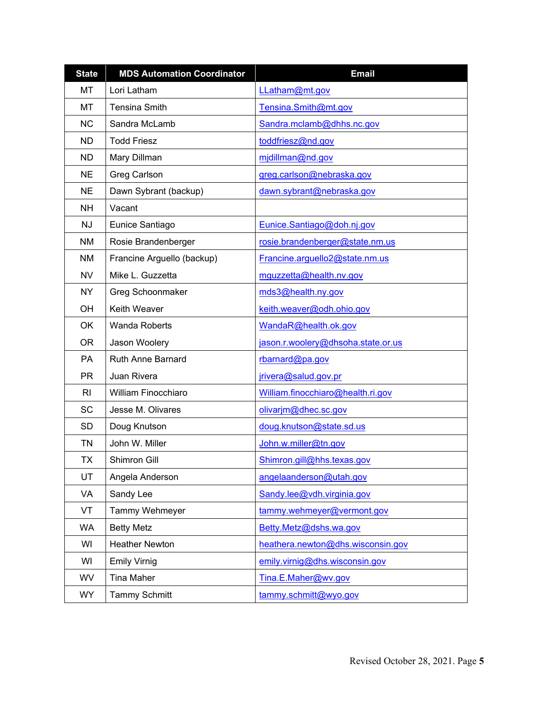| <b>State</b> | <b>MDS Automation Coordinator</b> | <b>Email</b>                       |  |
|--------------|-----------------------------------|------------------------------------|--|
| MT           | Lori Latham                       | LLatham@mt.gov                     |  |
| MT           | <b>Tensina Smith</b>              | Tensina.Smith@mt.gov               |  |
| <b>NC</b>    | Sandra McLamb                     | Sandra.mclamb@dhhs.nc.gov          |  |
| ND.          | <b>Todd Friesz</b>                | toddfriesz@nd.gov                  |  |
| ND.          | Mary Dillman                      | midillman@nd.gov                   |  |
| <b>NE</b>    | Greg Carlson                      | greg.carlson@nebraska.gov          |  |
| <b>NE</b>    | Dawn Sybrant (backup)             | dawn.sybrant@nebraska.gov          |  |
| <b>NH</b>    | Vacant                            |                                    |  |
| <b>NJ</b>    | Eunice Santiago                   | Eunice.Santiago@doh.nj.gov         |  |
| <b>NM</b>    | Rosie Brandenberger               | rosie.brandenberger@state.nm.us    |  |
| <b>NM</b>    | Francine Arguello (backup)        | Francine.arguello2@state.nm.us     |  |
| <b>NV</b>    | Mike L. Guzzetta                  | mguzzetta@health.nv.gov            |  |
| <b>NY</b>    | <b>Greg Schoonmaker</b>           | mds3@health.ny.gov                 |  |
| OH           | Keith Weaver                      | keith.weaver@odh.ohio.gov          |  |
| OK           | <b>Wanda Roberts</b>              | WandaR@health.ok.gov               |  |
| <b>OR</b>    | Jason Woolery                     | jason.r.woolery@dhsoha.state.or.us |  |
| <b>PA</b>    | <b>Ruth Anne Barnard</b>          | rbarnard@pa.gov                    |  |
| <b>PR</b>    | Juan Rivera                       | jrivera@salud.gov.pr               |  |
| <b>RI</b>    | William Finocchiaro               | William.finocchiaro@health.ri.gov  |  |
| <b>SC</b>    | Jesse M. Olivares                 | olivarjm@dhec.sc.gov               |  |
| <b>SD</b>    | Doug Knutson                      | doug.knutson@state.sd.us           |  |
| <b>TN</b>    | John W. Miller                    | John.w.miller@tn.gov               |  |
| <b>TX</b>    | <b>Shimron Gill</b>               | Shimron.gill@hhs.texas.gov         |  |
| UT           | Angela Anderson                   | angelaanderson@utah.gov            |  |
| VA           | Sandy Lee                         | Sandy.lee@vdh.virginia.gov         |  |
| VT           | Tammy Wehmeyer                    | tammy.wehmeyer@vermont.gov         |  |
| <b>WA</b>    | <b>Betty Metz</b>                 | Betty.Metz@dshs.wa.gov             |  |
| WI           | <b>Heather Newton</b>             | heathera.newton@dhs.wisconsin.gov  |  |
| WI           | <b>Emily Virnig</b>               | emily.virnig@dhs.wisconsin.gov     |  |
| WV           | <b>Tina Maher</b>                 | Tina.E.Maher@wv.gov                |  |
| <b>WY</b>    | <b>Tammy Schmitt</b>              | tammy.schmitt@wyo.gov              |  |